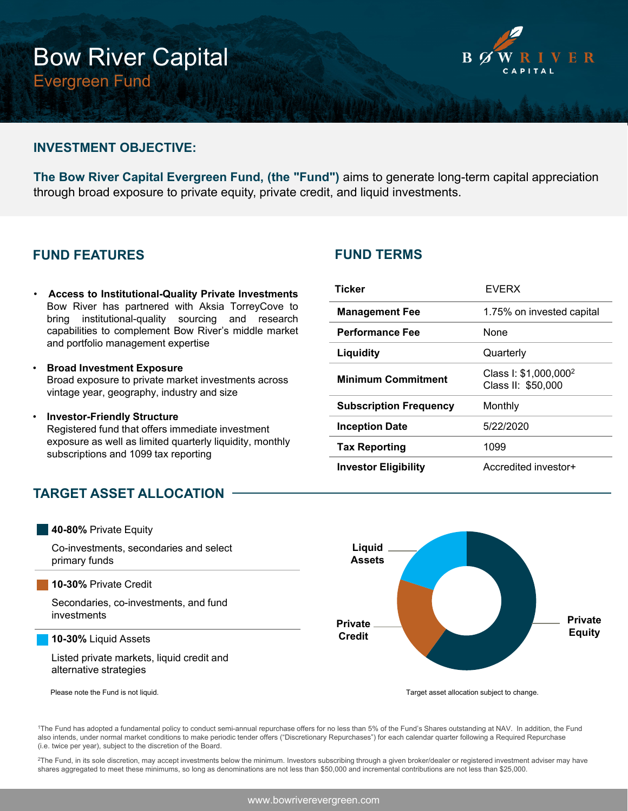# Bow River Capital Evergreen Fund



### **INVESTMENT OBJECTIVE:**

**The Bow River Capital Evergreen Fund, (the "Fund")** aims to generate long-term capital appreciation through broad exposure to private equity, private credit, and liquid investments.

## **FUND FEATURES**

- **Access to Institutional-Quality Private Investments** Bow River has partnered with Aksia TorreyCove to bring institutional-quality sourcing and research capabilities to complement Bow River's middle market and portfolio management expertise
- **Broad Investment Exposure** Broad exposure to private market investments across vintage year, geography, industry and size
- **Investor-Friendly Structure** Registered fund that offers immediate investment exposure as well as limited quarterly liquidity, monthly subscriptions and 1099 tax reporting

## **TARGET ASSET ALLOCATION**



1The Fund has adopted a fundamental policy to conduct semi-annual repurchase offers for no less than 5% of the Fund's Shares outstanding at NAV. In addition, the Fund also intends, under normal market conditions to make periodic tender offers ("Discretionary Repurchases") for each calendar quarter following a Required Repurchase (i.e. twice per year), subject to the discretion of the Board.

<sup>2</sup>The Fund, in its sole discretion, may accept investments below the minimum. Investors subscribing through a given broker/dealer or registered investment adviser may have shares aggregated to meet these minimums, so long as denominations are not less than \$50,000 and incremental contributions are not less than \$25,000.

## **FUND TERMS**